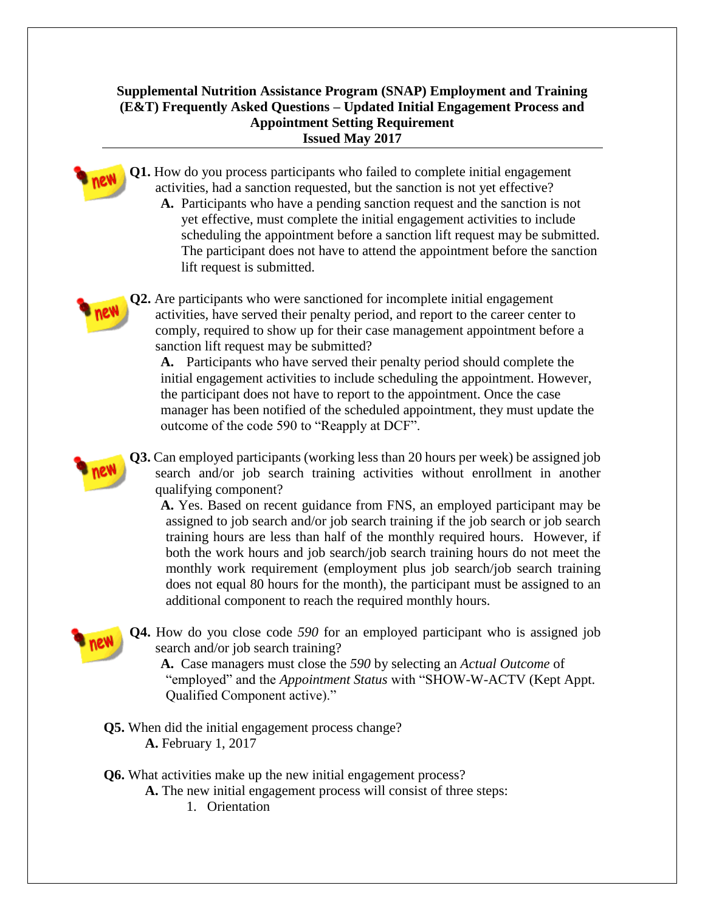## **Supplemental Nutrition Assistance Program (SNAP) Employment and Training (E&T) Frequently Asked Questions – Updated Initial Engagement Process and Appointment Setting Requirement Issued May 2017**

**Q1.** How do you process participants who failed to complete initial engagement activities, had a sanction requested, but the sanction is not yet effective?

**A.** Participants who have a pending sanction request and the sanction is not yet effective, must complete the initial engagement activities to include scheduling the appointment before a sanction lift request may be submitted. The participant does not have to attend the appointment before the sanction lift request is submitted.

**Q2.** Are participants who were sanctioned for incomplete initial engagement activities, have served their penalty period, and report to the career center to comply, required to show up for their case management appointment before a sanction lift request may be submitted?

**A.** Participants who have served their penalty period should complete the initial engagement activities to include scheduling the appointment. However, the participant does not have to report to the appointment. Once the case manager has been notified of the scheduled appointment, they must update the outcome of the code 590 to "Reapply at DCF".



**A.** Yes. Based on recent guidance from FNS, an employed participant may be assigned to job search and/or job search training if the job search or job search training hours are less than half of the monthly required hours. However, if both the work hours and job search/job search training hours do not meet the monthly work requirement (employment plus job search/job search training does not equal 80 hours for the month), the participant must be assigned to an additional component to reach the required monthly hours.



**Q4.** How do you close code *590* for an employed participant who is assigned job search and/or job search training?

**A.** Case managers must close the *590* by selecting an *Actual Outcome* of "employed" and the *Appointment Status* with "SHOW-W-ACTV (Kept Appt. Qualified Component active)."

**Q5.** When did the initial engagement process change? **A.** February 1, 2017

**Q6.** What activities make up the new initial engagement process?

**A.** The new initial engagement process will consist of three steps:

1. Orientation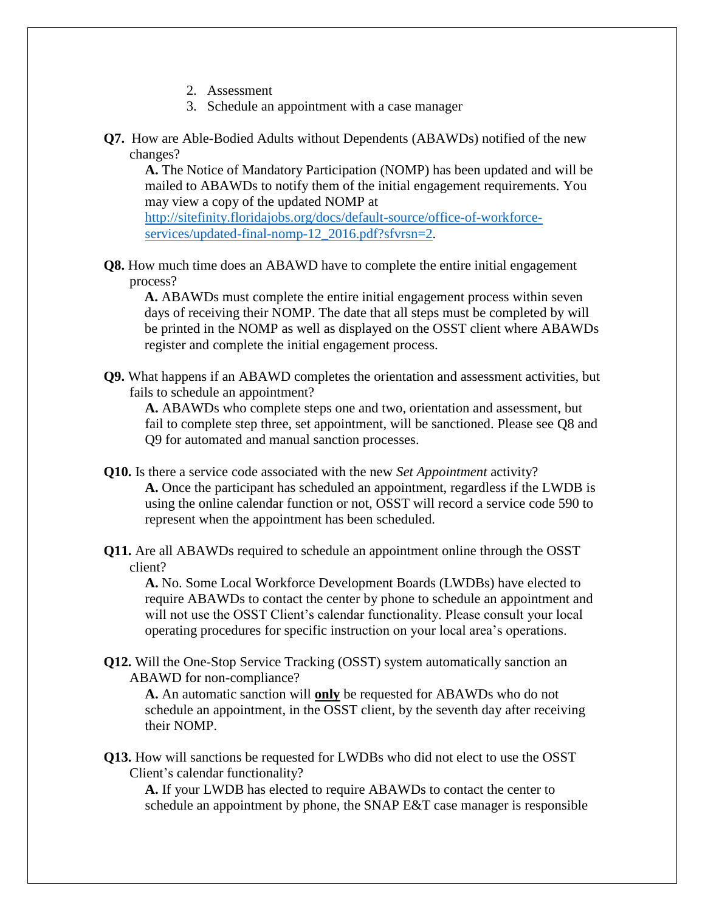- 2. Assessment
- 3. Schedule an appointment with a case manager
- **Q7.** How are Able-Bodied Adults without Dependents (ABAWDs) notified of the new changes?

**A.** The Notice of Mandatory Participation (NOMP) has been updated and will be mailed to ABAWDs to notify them of the initial engagement requirements. You may view a copy of the updated NOMP at

[http://sitefinity.floridajobs.org/docs/default-source/office-of-workforce](http://sitefinity.floridajobs.org/docs/default-source/office-of-workforce-services/updated-final-nomp-12_2016.pdf?sfvrsn=2)[services/updated-final-nomp-12\\_2016.pdf?sfvrsn=2.](http://sitefinity.floridajobs.org/docs/default-source/office-of-workforce-services/updated-final-nomp-12_2016.pdf?sfvrsn=2)

**Q8.** How much time does an ABAWD have to complete the entire initial engagement process?

**A.** ABAWDs must complete the entire initial engagement process within seven days of receiving their NOMP. The date that all steps must be completed by will be printed in the NOMP as well as displayed on the OSST client where ABAWDs register and complete the initial engagement process.

**Q9.** What happens if an ABAWD completes the orientation and assessment activities, but fails to schedule an appointment?

**A.** ABAWDs who complete steps one and two, orientation and assessment, but fail to complete step three, set appointment, will be sanctioned. Please see Q8 and Q9 for automated and manual sanction processes.

- **Q10.** Is there a service code associated with the new *Set Appointment* activity? **A.** Once the participant has scheduled an appointment, regardless if the LWDB is using the online calendar function or not, OSST will record a service code 590 to represent when the appointment has been scheduled.
- **Q11.** Are all ABAWDs required to schedule an appointment online through the OSST client?

**A.** No. Some Local Workforce Development Boards (LWDBs) have elected to require ABAWDs to contact the center by phone to schedule an appointment and will not use the OSST Client's calendar functionality. Please consult your local operating procedures for specific instruction on your local area's operations.

**Q12.** Will the One-Stop Service Tracking (OSST) system automatically sanction an ABAWD for non-compliance?

**A.** An automatic sanction will **only** be requested for ABAWDs who do not schedule an appointment, in the OSST client, by the seventh day after receiving their NOMP.

**Q13.** How will sanctions be requested for LWDBs who did not elect to use the OSST Client's calendar functionality?

**A.** If your LWDB has elected to require ABAWDs to contact the center to schedule an appointment by phone, the SNAP E&T case manager is responsible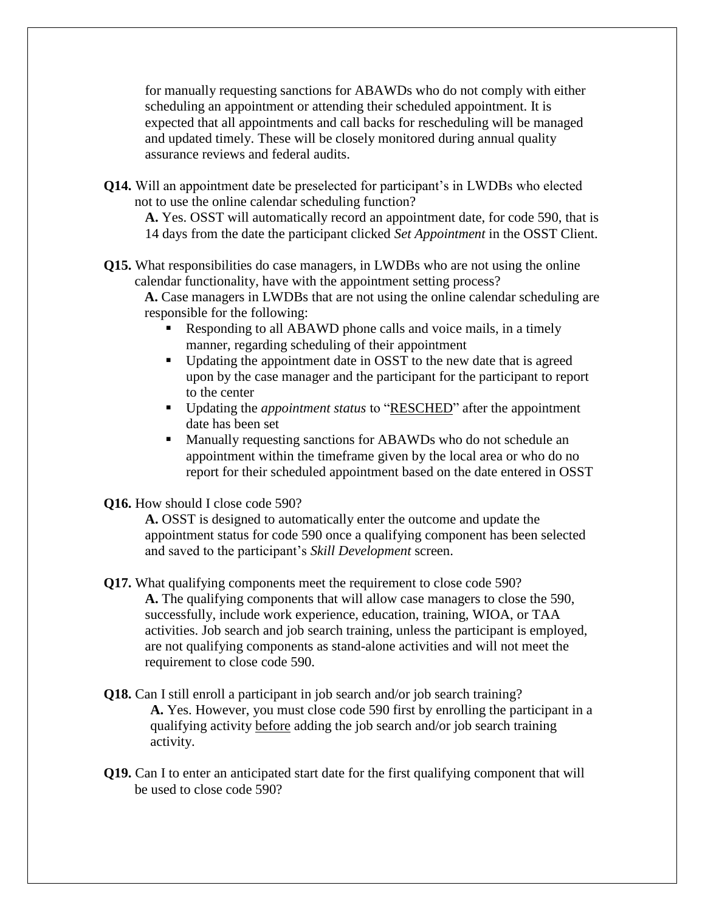for manually requesting sanctions for ABAWDs who do not comply with either scheduling an appointment or attending their scheduled appointment. It is expected that all appointments and call backs for rescheduling will be managed and updated timely. These will be closely monitored during annual quality assurance reviews and federal audits.

**Q14.** Will an appointment date be preselected for participant's in LWDBs who elected not to use the online calendar scheduling function?

**A.** Yes. OSST will automatically record an appointment date, for code 590, that is 14 days from the date the participant clicked *Set Appointment* in the OSST Client.

**Q15.** What responsibilities do case managers, in LWDBs who are not using the online calendar functionality, have with the appointment setting process?

**A.** Case managers in LWDBs that are not using the online calendar scheduling are responsible for the following:

- Responding to all ABAWD phone calls and voice mails, in a timely manner, regarding scheduling of their appointment
- Updating the appointment date in OSST to the new date that is agreed upon by the case manager and the participant for the participant to report to the center
- Updating the *appointment status* to "RESCHED" after the appointment date has been set
- **Manually requesting sanctions for ABAWDs who do not schedule an** appointment within the timeframe given by the local area or who do no report for their scheduled appointment based on the date entered in OSST
- **Q16.** How should I close code 590?

**A.** OSST is designed to automatically enter the outcome and update the appointment status for code 590 once a qualifying component has been selected and saved to the participant's *Skill Development* screen.

**Q17.** What qualifying components meet the requirement to close code 590? **A.** The qualifying components that will allow case managers to close the 590, successfully, include work experience, education, training, WIOA, or TAA activities. Job search and job search training, unless the participant is employed, are not qualifying components as stand-alone activities and will not meet the requirement to close code 590.

- **Q18.** Can I still enroll a participant in job search and/or job search training? **A.** Yes. However, you must close code 590 first by enrolling the participant in a qualifying activity before adding the job search and/or job search training activity.
- **Q19.** Can I to enter an anticipated start date for the first qualifying component that will be used to close code 590?